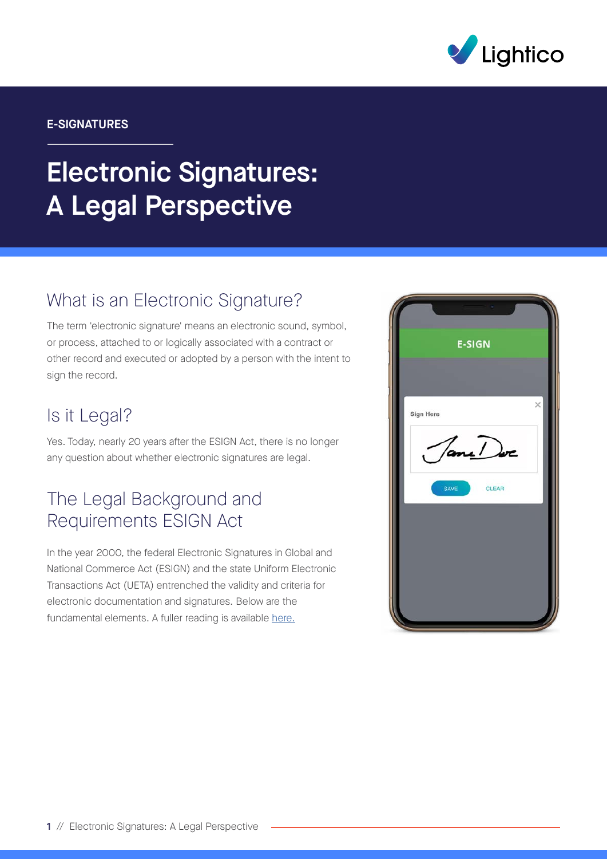

#### E-SIGNATURES

# Electronic Signatures: A Legal Perspective

## What is an Electronic Signature?

The term 'electronic signature' means an electronic sound, symbol, or process, attached to or logically associated with a contract or other record and executed or adopted by a person with the intent to sign the record.

#### Is it Legal?

Yes. Today, nearly 20 years after the ESIGN Act, there is no longer any question about whether electronic signatures are legal.

### The Legal Background and Requirements ESIGN Act

In the year 2000, the federal Electronic Signatures in Global and National Commerce Act (ESIGN) and the state Uniform Electronic Transactions Act (UETA) entrenched the validity and criteria for electronic documentation and signatures. Below are the fundamental elements. A fuller reading is available [here.](https://www.fdic.gov/regulations/compliance/manual/10/x-3.1.pdf)

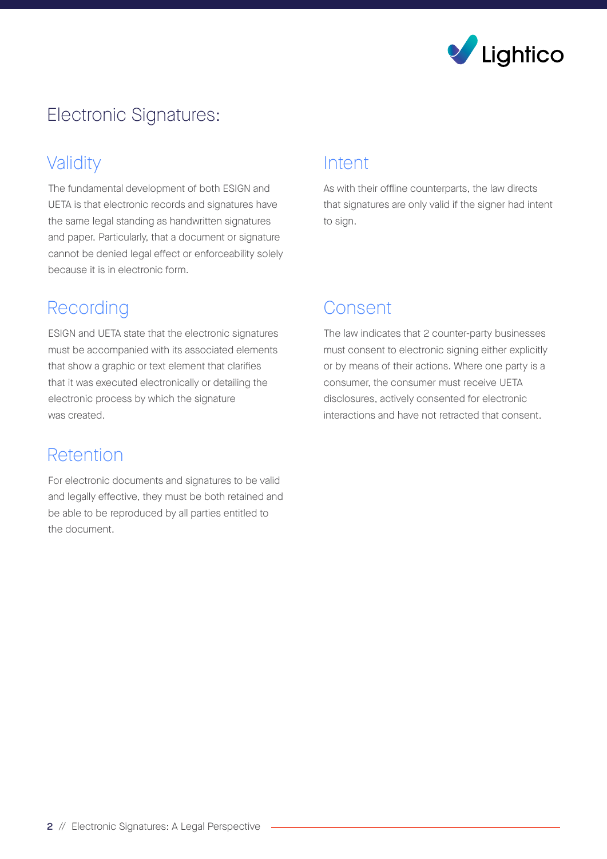

# Electronic Signatures:

# Validity

The fundamental development of both ESIGN and UETA is that electronic records and signatures have the same legal standing as handwritten signatures and paper. Particularly, that a document or signature cannot be denied legal effect or enforceability solely because it is in electronic form.

# Recording

ESIGN and UETA state that the electronic signatures must be accompanied with its associated elements that show a graphic or text element that clarifies that it was executed electronically or detailing the electronic process by which the signature was created.

## Retention

For electronic documents and signatures to be valid and legally effective, they must be both retained and be able to be reproduced by all parties entitled to the document.

#### Intent

As with their offline counterparts, the law directs that signatures are only valid if the signer had intent to sign.

# Consent

The law indicates that 2 counter-party businesses must consent to electronic signing either explicitly or by means of their actions. Where one party is a consumer, the consumer must receive UETA disclosures, actively consented for electronic interactions and have not retracted that consent.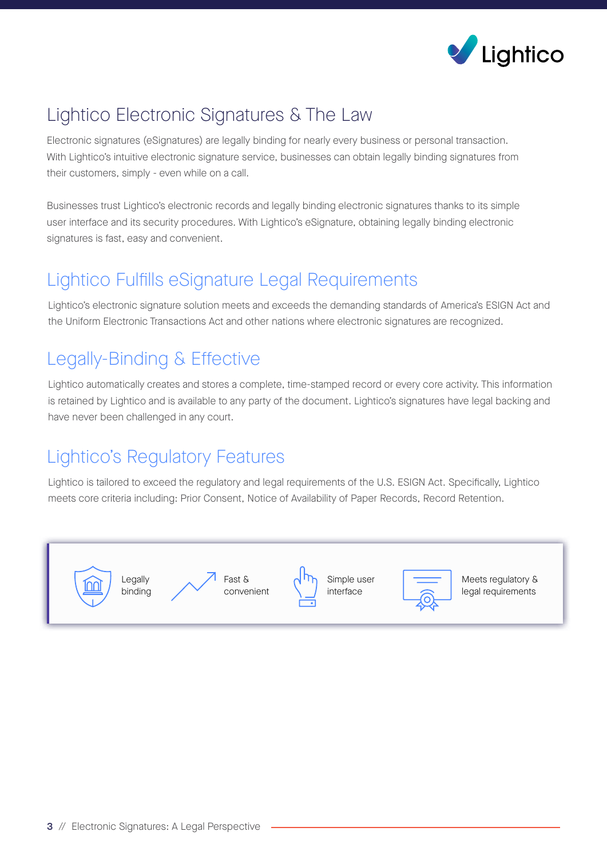

# Lightico Electronic Signatures & The Law

Electronic signatures (eSignatures) are legally binding for nearly every business or personal transaction. With Lightico's intuitive electronic signature service, businesses can obtain legally binding signatures from their customers, simply - even while on a call.

Businesses trust Lightico's electronic records and legally binding electronic signatures thanks to its simple user interface and its security procedures. With Lightico's eSignature, obtaining legally binding electronic signatures is fast, easy and convenient.

# Lightico Fulfills eSignature Legal Requirements

Lightico's electronic signature solution meets and exceeds the demanding standards of America's ESIGN Act and the Uniform Electronic Transactions Act and other nations where electronic signatures are recognized.

# Legally-Binding & Effective

Lightico automatically creates and stores a complete, time-stamped record or every core activity. This information is retained by Lightico and is available to any party of the document. Lightico's signatures have legal backing and have never been challenged in any court.

# Lightico's Regulatory Features

Lightico is tailored to exceed the regulatory and legal requirements of the U.S. ESIGN Act. Specifically, Lightico meets core criteria including: Prior Consent, Notice of Availability of Paper Records, Record Retention.